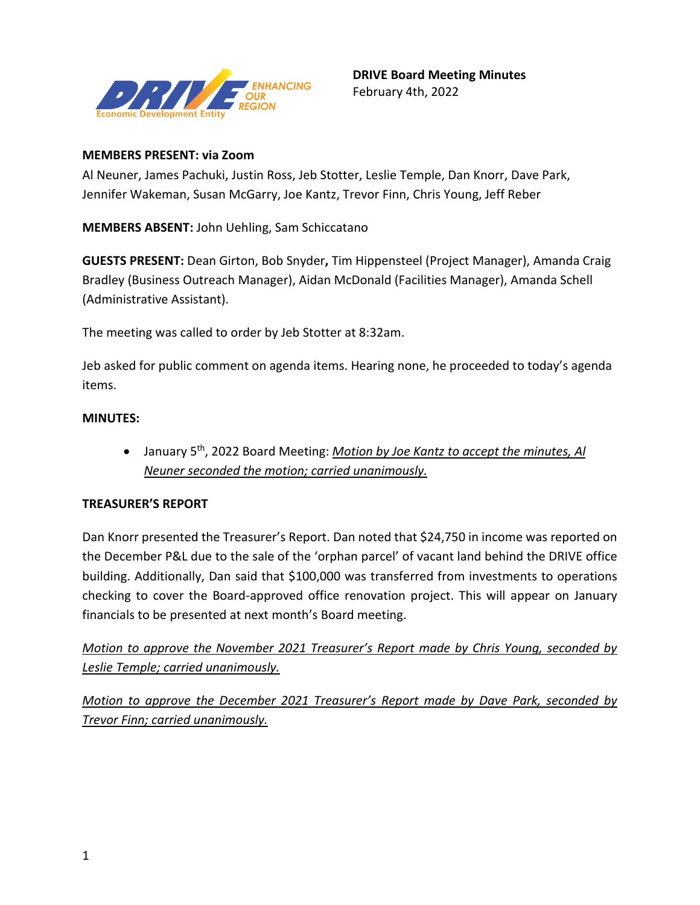

## **MEMBERS PRESENT: via Zoom**

Al Neuner, James Pachuki, Justin Ross, Jeb Stotter, Leslie Temple, Dan Knorr, Dave Park, Jennifer Wakeman, Susan McGarry, Joe Kantz, Trevor Finn, Chris Young, Jeff Reber

**MEMBERS ABSENT:** John Uehling, Sam Schiccatano

**GUESTS PRESENT:** Dean Girton, Bob Snyder**,** Tim Hippensteel (Project Manager), Amanda Craig Bradley (Business Outreach Manager), Aidan McDonald (Facilities Manager), Amanda Schell (Administrative Assistant).

The meeting was called to order by Jeb Stotter at 8:32am.

Jeb asked for public comment on agenda items. Hearing none, he proceeded to today's agenda items.

#### **MINUTES:**

• January 5th, 2022 Board Meeting: *Motion by Joe Kantz to accept the minutes, Al Neuner seconded the motion; carried unanimously.* 

# **TREASURER'S REPORT**

Dan Knorr presented the Treasurer's Report. Dan noted that \$24,750 in income was reported on the December P&L due to the sale of the 'orphan parcel' of vacant land behind the DRIVE office building. Additionally, Dan said that \$100,000 was transferred from investments to operations checking to cover the Board-approved office renovation project. This will appear on January financials to be presented at next month's Board meeting.

*Motion to approve the November 2021 Treasurer's Report made by Chris Young, seconded by Leslie Temple; carried unanimously.*

*Motion to approve the December 2021 Treasurer's Report made by Dave Park, seconded by Trevor Finn; carried unanimously.*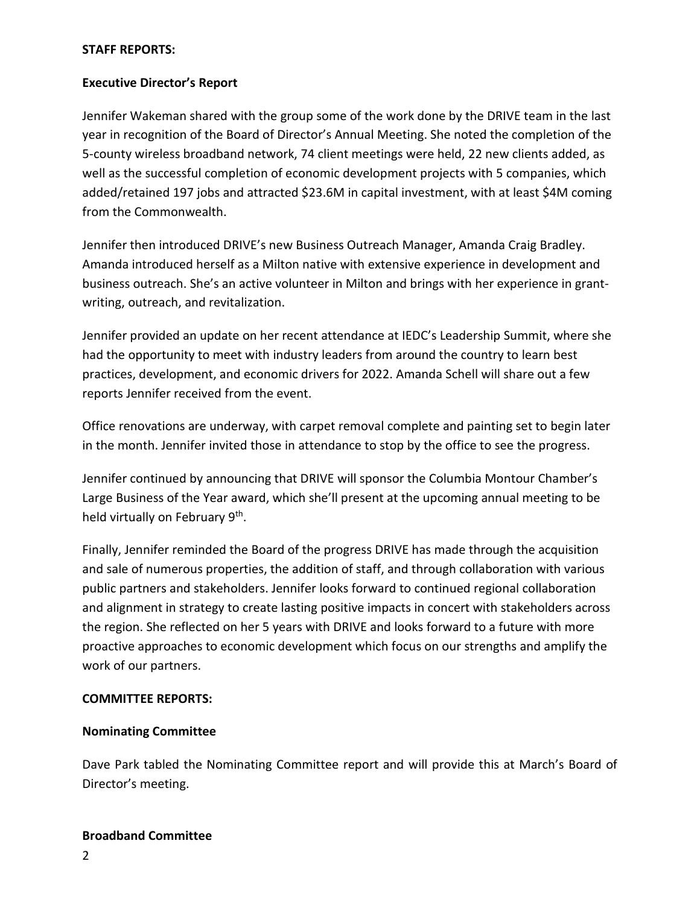#### **STAFF REPORTS:**

## **Executive Director's Report**

Jennifer Wakeman shared with the group some of the work done by the DRIVE team in the last year in recognition of the Board of Director's Annual Meeting. She noted the completion of the 5-county wireless broadband network, 74 client meetings were held, 22 new clients added, as well as the successful completion of economic development projects with 5 companies, which added/retained 197 jobs and attracted \$23.6M in capital investment, with at least \$4M coming from the Commonwealth.

Jennifer then introduced DRIVE's new Business Outreach Manager, Amanda Craig Bradley. Amanda introduced herself as a Milton native with extensive experience in development and business outreach. She's an active volunteer in Milton and brings with her experience in grantwriting, outreach, and revitalization.

Jennifer provided an update on her recent attendance at IEDC's Leadership Summit, where she had the opportunity to meet with industry leaders from around the country to learn best practices, development, and economic drivers for 2022. Amanda Schell will share out a few reports Jennifer received from the event.

Office renovations are underway, with carpet removal complete and painting set to begin later in the month. Jennifer invited those in attendance to stop by the office to see the progress.

Jennifer continued by announcing that DRIVE will sponsor the Columbia Montour Chamber's Large Business of the Year award, which she'll present at the upcoming annual meeting to be held virtually on February 9<sup>th</sup>.

Finally, Jennifer reminded the Board of the progress DRIVE has made through the acquisition and sale of numerous properties, the addition of staff, and through collaboration with various public partners and stakeholders. Jennifer looks forward to continued regional collaboration and alignment in strategy to create lasting positive impacts in concert with stakeholders across the region. She reflected on her 5 years with DRIVE and looks forward to a future with more proactive approaches to economic development which focus on our strengths and amplify the work of our partners.

#### **COMMITTEE REPORTS:**

# **Nominating Committee**

Dave Park tabled the Nominating Committee report and will provide this at March's Board of Director's meeting.

#### **Broadband Committee**